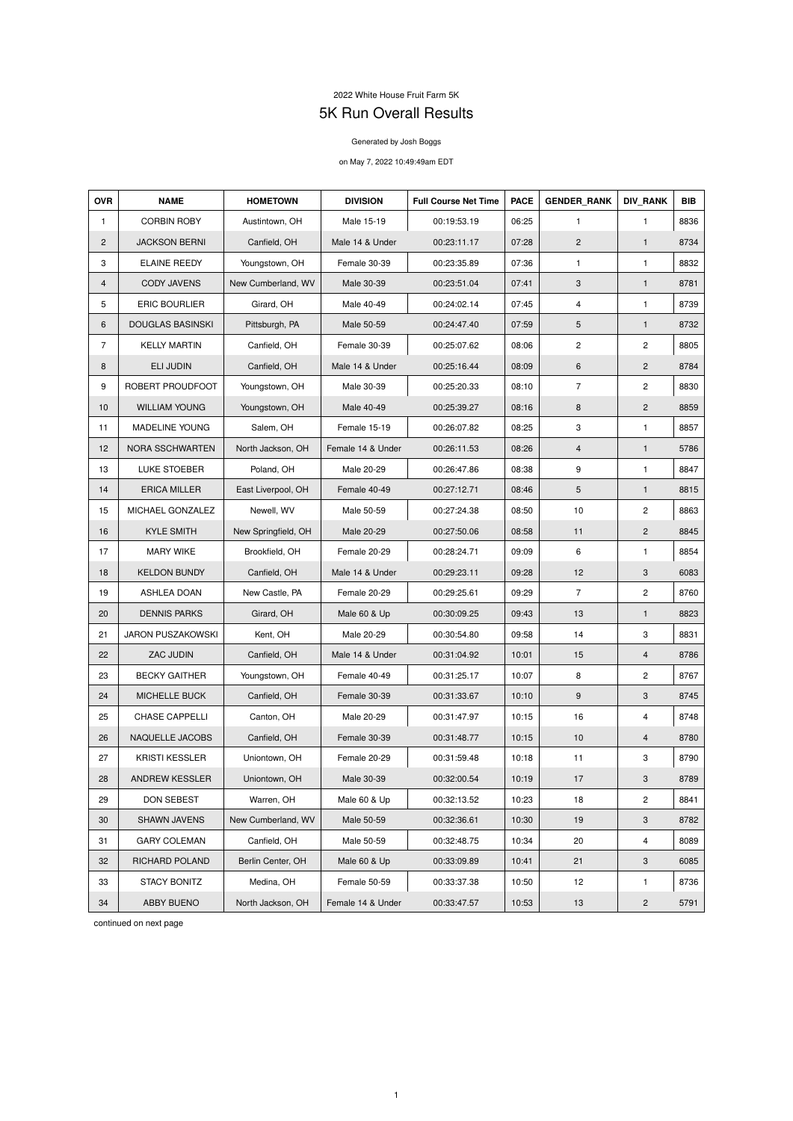## 2022 White House Fruit Farm 5K 5K Run Overall Results

## Generated by Josh Boggs

## on May 7, 2022 10:49:49am EDT

| <b>OVR</b>     | <b>NAME</b>              | <b>HOMETOWN</b>     | <b>DIVISION</b>   | <b>Full Course Net Time</b> | <b>PACE</b> | <b>GENDER RANK</b> | <b>DIV RANK</b>         | <b>BIB</b> |
|----------------|--------------------------|---------------------|-------------------|-----------------------------|-------------|--------------------|-------------------------|------------|
| $\mathbf{1}$   | <b>CORBIN ROBY</b>       | Austintown, OH      | Male 15-19        | 00:19:53.19                 | 06:25       | $\mathbf{1}$       | $\mathbf{1}$            | 8836       |
| $\overline{2}$ | <b>JACKSON BERNI</b>     | Canfield, OH        | Male 14 & Under   | 00:23:11.17                 | 07:28       | $\overline{2}$     | $\mathbf{1}$            | 8734       |
| 3              | <b>ELAINE REEDY</b>      | Youngstown, OH      | Female 30-39      | 00:23:35.89                 | 07:36       | $\mathbf{1}$       | 1                       | 8832       |
| 4              | <b>CODY JAVENS</b>       | New Cumberland, WV  | Male 30-39        | 00:23:51.04                 | 07:41       | 3                  | $\mathbf{1}$            | 8781       |
| 5              | <b>ERIC BOURLIER</b>     | Girard, OH          | Male 40-49        | 00:24:02.14                 | 07:45       | 4                  | $\mathbf{1}$            | 8739       |
| 6              | <b>DOUGLAS BASINSKI</b>  | Pittsburgh, PA      | Male 50-59        | 00:24:47.40                 | 07:59       | 5                  | $\mathbf{1}$            | 8732       |
| $\overline{7}$ | <b>KELLY MARTIN</b>      | Canfield, OH        | Female 30-39      | 00:25:07.62                 | 08:06       | $\overline{c}$     | $\overline{\mathbf{c}}$ | 8805       |
| 8              | <b>ELI JUDIN</b>         | Canfield, OH        | Male 14 & Under   | 00:25:16.44                 | 08:09       | 6                  | $\mathbf{2}$            | 8784       |
| 9              | ROBERT PROUDFOOT         | Youngstown, OH      | Male 30-39        | 00:25:20.33                 | 08:10       | $\overline{7}$     | $\overline{c}$          | 8830       |
| 10             | <b>WILLIAM YOUNG</b>     | Youngstown, OH      | Male 40-49        | 00:25:39.27                 | 08:16       | 8                  | $\overline{2}$          | 8859       |
| 11             | <b>MADELINE YOUNG</b>    | Salem, OH           | Female 15-19      | 00:26:07.82                 | 08:25       | 3                  | 1                       | 8857       |
| 12             | NORA SSCHWARTEN          | North Jackson, OH   | Female 14 & Under | 00:26:11.53                 | 08:26       | 4                  | $\mathbf{1}$            | 5786       |
| 13             | <b>LUKE STOEBER</b>      | Poland, OH          | Male 20-29        | 00:26:47.86                 | 08:38       | 9                  | $\mathbf{1}$            | 8847       |
| 14             | <b>ERICA MILLER</b>      | East Liverpool, OH  | Female 40-49      | 00:27:12.71                 | 08:46       | 5                  | 1                       | 8815       |
| 15             | MICHAEL GONZALEZ         | Newell, WV          | Male 50-59        | 00:27:24.38                 | 08:50       | 10                 | $\overline{c}$          | 8863       |
| 16             | <b>KYLE SMITH</b>        | New Springfield, OH | Male 20-29        | 00:27:50.06                 | 08:58       | 11                 | $\mathbf{2}$            | 8845       |
| 17             | <b>MARY WIKE</b>         | Brookfield, OH      | Female 20-29      | 00:28:24.71                 | 09:09       | 6                  | 1                       | 8854       |
| 18             | <b>KELDON BUNDY</b>      | Canfield, OH        | Male 14 & Under   | 00:29:23.11                 | 09:28       | 12                 | 3                       | 6083       |
| 19             | <b>ASHLEA DOAN</b>       | New Castle, PA      | Female 20-29      | 00:29:25.61                 | 09:29       | $\overline{7}$     | $\mathbf{2}$            | 8760       |
| 20             | <b>DENNIS PARKS</b>      | Girard, OH          | Male 60 & Up      | 00:30:09.25                 | 09:43       | 13                 | $\mathbf{1}$            | 8823       |
| 21             | <b>JARON PUSZAKOWSKI</b> | Kent, OH            | Male 20-29        | 00:30:54.80                 | 09:58       | 14                 | 3                       | 8831       |
| 22             | ZAC JUDIN                | Canfield, OH        | Male 14 & Under   | 00:31:04.92                 | 10:01       | 15                 | 4                       | 8786       |
| 23             | <b>BECKY GAITHER</b>     | Youngstown, OH      | Female 40-49      | 00:31:25.17                 | 10:07       | 8                  | 2                       | 8767       |
| 24             | MICHELLE BUCK            | Canfield, OH        | Female 30-39      | 00:31:33.67                 | 10:10       | $9\,$              | 3                       | 8745       |
| 25             | CHASE CAPPELLI           | Canton, OH          | Male 20-29        | 00:31:47.97                 | 10:15       | 16                 | 4                       | 8748       |
| 26             | NAQUELLE JACOBS          | Canfield, OH        | Female 30-39      | 00:31:48.77                 | 10:15       | 10                 | 4                       | 8780       |
| 27             | <b>KRISTI KESSLER</b>    | Uniontown, OH       | Female 20-29      | 00:31:59.48                 | 10:18       | 11                 | 3                       | 8790       |
| 28             | ANDREW KESSLER           | Uniontown, OH       | Male 30-39        | 00:32:00.54                 | 10:19       | 17                 | 3                       | 8789       |
| 29             | DON SEBEST               | Warren, OH          | Male 60 & Up      | 00:32:13.52                 | 10:23       | 18                 | 2                       | 8841       |
| 30             | <b>SHAWN JAVENS</b>      | New Cumberland, WV  | Male 50-59        | 00:32:36.61                 | 10:30       | 19                 | 3                       | 8782       |
| 31             | <b>GARY COLEMAN</b>      | Canfield, OH        | Male 50-59        | 00:32:48.75                 | 10:34       | 20                 | 4                       | 8089       |
| 32             | RICHARD POLAND           | Berlin Center, OH   | Male 60 & Up      | 00:33:09.89                 | 10:41       | 21                 | 3                       | 6085       |
| 33             | <b>STACY BONITZ</b>      | Medina, OH          | Female 50-59      | 00:33:37.38                 | 10:50       | 12                 | $\mathbf{1}$            | 8736       |
| 34             | ABBY BUENO               | North Jackson, OH   | Female 14 & Under | 00:33:47.57                 | 10:53       | 13                 | $\overline{c}$          | 5791       |

continued on next page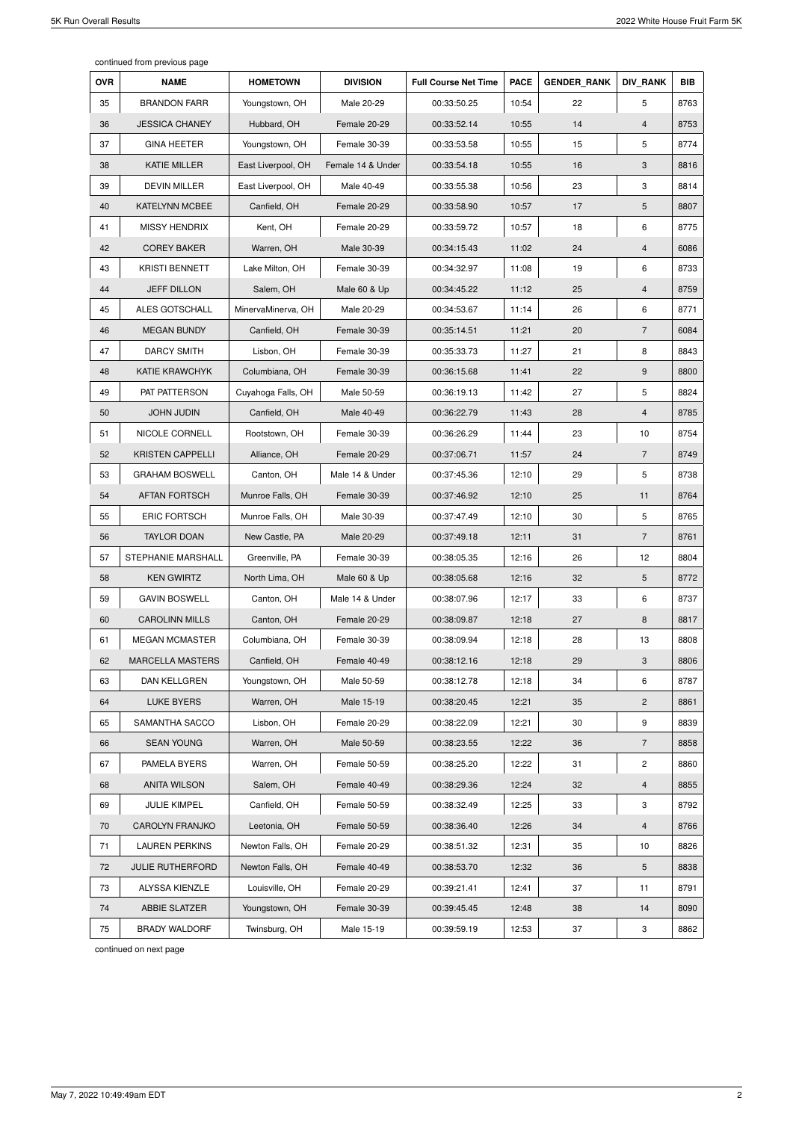continued from previous page

| <b>OVR</b> | <b>NAME</b>             | <b>HOMETOWN</b>    | <b>DIVISION</b>   | <b>Full Course Net Time</b> | <b>PACE</b> | <b>GENDER RANK</b> | <b>DIV RANK</b> | <b>BIB</b> |
|------------|-------------------------|--------------------|-------------------|-----------------------------|-------------|--------------------|-----------------|------------|
| 35         | <b>BRANDON FARR</b>     | Youngstown, OH     | Male 20-29        | 00:33:50.25                 | 10:54       | 22                 | 5               | 8763       |
| 36         | <b>JESSICA CHANEY</b>   | Hubbard, OH        | Female 20-29      | 00:33:52.14                 | 10:55       | 14                 | 4               | 8753       |
| 37         | <b>GINA HEETER</b>      | Youngstown, OH     | Female 30-39      | 00:33:53.58                 | 10:55       | 15                 | 5               | 8774       |
| 38         | <b>KATIE MILLER</b>     | East Liverpool, OH | Female 14 & Under | 00:33:54.18                 | 10:55       | 16                 | 3               | 8816       |
| 39         | <b>DEVIN MILLER</b>     | East Liverpool, OH | Male 40-49        | 00:33:55.38                 | 10:56       | 23                 | 3               | 8814       |
| 40         | <b>KATELYNN MCBEE</b>   | Canfield, OH       | Female 20-29      | 00:33:58.90                 | 10:57       | 17                 | 5               | 8807       |
| 41         | <b>MISSY HENDRIX</b>    | Kent, OH           | Female 20-29      | 00:33:59.72                 | 10:57       | 18                 | 6               | 8775       |
| 42         | <b>COREY BAKER</b>      | Warren, OH         | Male 30-39        | 00:34:15.43                 | 11:02       | 24                 | 4               | 6086       |
| 43         | <b>KRISTI BENNETT</b>   | Lake Milton, OH    | Female 30-39      | 00:34:32.97                 | 11:08       | 19                 | 6               | 8733       |
| 44         | <b>JEFF DILLON</b>      | Salem, OH          | Male 60 & Up      | 00:34:45.22                 | 11:12       | 25                 | 4               | 8759       |
| 45         | ALES GOTSCHALL          | MinervaMinerva, OH | Male 20-29        | 00:34:53.67                 | 11:14       | 26                 | 6               | 8771       |
| 46         | <b>MEGAN BUNDY</b>      | Canfield, OH       | Female 30-39      | 00:35:14.51                 | 11:21       | 20                 | $\overline{7}$  | 6084       |
| 47         | <b>DARCY SMITH</b>      | Lisbon, OH         | Female 30-39      | 00:35:33.73                 | 11:27       | 21                 | 8               | 8843       |
| 48         | <b>KATIE KRAWCHYK</b>   | Columbiana, OH     | Female 30-39      | 00:36:15.68                 | 11:41       | 22                 | 9               | 8800       |
| 49         | PAT PATTERSON           | Cuyahoga Falls, OH | Male 50-59        | 00:36:19.13                 | 11:42       | 27                 | 5               | 8824       |
| 50         | <b>JOHN JUDIN</b>       | Canfield, OH       | Male 40-49        | 00:36:22.79                 | 11:43       | 28                 | 4               | 8785       |
| 51         | NICOLE CORNELL          | Rootstown, OH      | Female 30-39      | 00:36:26.29                 | 11:44       | 23                 | 10              | 8754       |
| 52         | <b>KRISTEN CAPPELLI</b> | Alliance, OH       | Female 20-29      | 00:37:06.71                 | 11:57       | 24                 | $\overline{7}$  | 8749       |
| 53         | <b>GRAHAM BOSWELL</b>   | Canton, OH         | Male 14 & Under   | 00:37:45.36                 | 12:10       | 29                 | 5               | 8738       |
| 54         | AFTAN FORTSCH           | Munroe Falls, OH   | Female 30-39      | 00:37:46.92                 | 12:10       | 25                 | 11              | 8764       |
| 55         | <b>ERIC FORTSCH</b>     | Munroe Falls, OH   | Male 30-39        | 00:37:47.49                 | 12:10       | 30                 | 5               | 8765       |
| 56         | <b>TAYLOR DOAN</b>      | New Castle, PA     | Male 20-29        | 00:37:49.18                 | 12:11       | 31                 | $\overline{7}$  | 8761       |
| 57         | STEPHANIE MARSHALL      | Greenville, PA     | Female 30-39      | 00:38:05.35                 | 12:16       | 26                 | 12              | 8804       |
| 58         | <b>KEN GWIRTZ</b>       | North Lima, OH     | Male 60 & Up      | 00:38:05.68                 | 12:16       | 32                 | 5               | 8772       |
| 59         | <b>GAVIN BOSWELL</b>    | Canton, OH         | Male 14 & Under   | 00:38:07.96                 | 12:17       | 33                 | 6               | 8737       |
| 60         | <b>CAROLINN MILLS</b>   | Canton, OH         | Female 20-29      | 00:38:09.87                 | 12:18       | 27                 | 8               | 8817       |
| 61         | <b>MEGAN MCMASTER</b>   | Columbiana, OH     | Female 30-39      | 00:38:09.94                 | 12:18       | 28                 | 13              | 8808       |
| 62         | <b>MARCELLA MASTERS</b> | Canfield, OH       | Female 40-49      | 00:38:12.16                 | 12:18       | 29                 | 3               | 8806       |
| 63         | DAN KELLGREN            | Youngstown, OH     | Male 50-59        | 00:38:12.78                 | 12:18       | 34                 | 6               | 8787       |
| 64         | <b>LUKE BYERS</b>       | Warren, OH         | Male 15-19        | 00:38:20.45                 | 12:21       | 35                 | $\mathbf{2}$    | 8861       |
| 65         | SAMANTHA SACCO          | Lisbon, OH         | Female 20-29      | 00:38:22.09                 | 12:21       | 30                 | 9               | 8839       |
| 66         | <b>SEAN YOUNG</b>       | Warren, OH         | Male 50-59        | 00:38:23.55                 | 12:22       | 36                 | $\overline{7}$  | 8858       |
| 67         | PAMELA BYERS            | Warren, OH         | Female 50-59      | 00:38:25.20                 | 12:22       | 31                 | $\mathbf{2}$    | 8860       |
| 68         | <b>ANITA WILSON</b>     | Salem, OH          | Female 40-49      | 00:38:29.36                 | 12:24       | 32                 | 4               | 8855       |
| 69         | <b>JULIE KIMPEL</b>     | Canfield, OH       | Female 50-59      | 00:38:32.49                 | 12:25       | 33                 | 3               | 8792       |
| 70         | <b>CAROLYN FRANJKO</b>  | Leetonia, OH       | Female 50-59      | 00:38:36.40                 | 12:26       | 34                 | 4               | 8766       |
| 71         | <b>LAUREN PERKINS</b>   | Newton Falls, OH   | Female 20-29      | 00:38:51.32                 | 12:31       | 35                 | 10              | 8826       |
| 72         | <b>JULIE RUTHERFORD</b> | Newton Falls, OH   | Female 40-49      | 00:38:53.70                 | 12:32       | 36                 | 5               | 8838       |
| 73         | ALYSSA KIENZLE          | Louisville, OH     | Female 20-29      | 00:39:21.41                 | 12:41       | 37                 | 11              | 8791       |
| 74         | ABBIE SLATZER           | Youngstown, OH     | Female 30-39      | 00:39:45.45                 | 12:48       | 38                 | 14              | 8090       |
| 75         | <b>BRADY WALDORF</b>    | Twinsburg, OH      | Male 15-19        | 00:39:59.19                 | 12:53       | 37                 | $\sqrt{3}$      | 8862       |

continued on next page